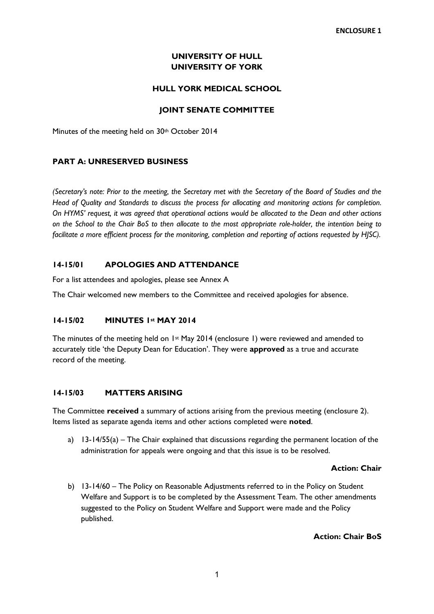# **UNIVERSITY OF HULL UNIVERSITY OF YORK**

## **HULL YORK MEDICAL SCHOOL**

## **JOINT SENATE COMMITTEE**

Minutes of the meeting held on 30th October 2014

## **PART A: UNRESERVED BUSINESS**

*(Secretary's note: Prior to the meeting, the Secretary met with the Secretary of the Board of Studies and the Head of Quality and Standards to discuss the process for allocating and monitoring actions for completion. On HYMS' request, it was agreed that operational actions would be allocated to the Dean and other actions on the School to the Chair BoS to then allocate to the most appropriate role-holder, the intention being to facilitate a more efficient process for the monitoring, completion and reporting of actions requested by HJSC).* 

## **14-15/01 APOLOGIES AND ATTENDANCE**

For a list attendees and apologies, please see Annex A

The Chair welcomed new members to the Committee and received apologies for absence.

### **14-15/02 MINUTES 1st MAY 2014**

The minutes of the meeting held on 1st May 2014 (enclosure 1) were reviewed and amended to accurately title 'the Deputy Dean for Education'. They were **approved** as a true and accurate record of the meeting.

### **14-15/03 MATTERS ARISING**

The Committee **received** a summary of actions arising from the previous meeting (enclosure 2). Items listed as separate agenda items and other actions completed were **noted**.

a) 13-14/55(a) – The Chair explained that discussions regarding the permanent location of the administration for appeals were ongoing and that this issue is to be resolved.

### **Action: Chair**

b) 13-14/60 – The Policy on Reasonable Adjustments referred to in the Policy on Student Welfare and Support is to be completed by the Assessment Team. The other amendments suggested to the Policy on Student Welfare and Support were made and the Policy published.

### **Action: Chair BoS**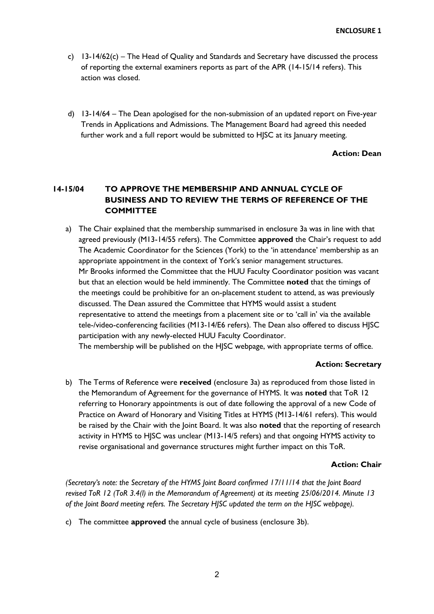- c) 13-14/62(c) The Head of Quality and Standards and Secretary have discussed the process of reporting the external examiners reports as part of the APR (14-15/14 refers). This action was closed.
- d) 13-14/64 The Dean apologised for the non-submission of an updated report on Five-year Trends in Applications and Admissions. The Management Board had agreed this needed further work and a full report would be submitted to HJSC at its January meeting.

### **Action: Dean**

# **14-15/04 TO APPROVE THE MEMBERSHIP AND ANNUAL CYCLE OF BUSINESS AND TO REVIEW THE TERMS OF REFERENCE OF THE COMMITTEE**

a) The Chair explained that the membership summarised in enclosure 3a was in line with that agreed previously (M13-14/55 refers). The Committee **approved** the Chair's request to add The Academic Coordinator for the Sciences (York) to the 'in attendance' membership as an appropriate appointment in the context of York's senior management structures. Mr Brooks informed the Committee that the HUU Faculty Coordinator position was vacant but that an election would be held imminently. The Committee **noted** that the timings of the meetings could be prohibitive for an on-placement student to attend, as was previously discussed. The Dean assured the Committee that HYMS would assist a student representative to attend the meetings from a placement site or to 'call in' via the available tele-/video-conferencing facilities (M13-14/E6 refers). The Dean also offered to discuss HJSC participation with any newly-elected HUU Faculty Coordinator.

The membership will be published on the HJSC webpage, with appropriate terms of office.

### **Action: Secretary**

b) The Terms of Reference were **received** (enclosure 3a) as reproduced from those listed in the Memorandum of Agreement for the governance of HYMS. It was **noted** that ToR 12 referring to Honorary appointments is out of date following the approval of a new Code of Practice on Award of Honorary and Visiting Titles at HYMS (M13-14/61 refers). This would be raised by the Chair with the Joint Board. It was also **noted** that the reporting of research activity in HYMS to HJSC was unclear (M13-14/5 refers) and that ongoing HYMS activity to revise organisational and governance structures might further impact on this ToR.

### **Action: Chair**

*(Secretary's note: the Secretary of the HYMS Joint Board confirmed 17/11/14 that the Joint Board revised ToR 12 (ToR 3.4(l) in the Memorandum of Agreement) at its meeting 25/06/2014. Minute 13 of the Joint Board meeting refers. The Secretary HJSC updated the term on the HJSC webpage).* 

c) The committee **approved** the annual cycle of business (enclosure 3b).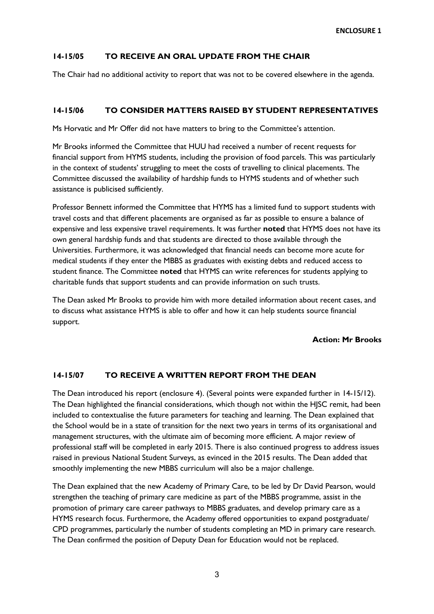## **14-15/05 TO RECEIVE AN ORAL UPDATE FROM THE CHAIR**

The Chair had no additional activity to report that was not to be covered elsewhere in the agenda.

## **14-15/06 TO CONSIDER MATTERS RAISED BY STUDENT REPRESENTATIVES**

Ms Horvatic and Mr Offer did not have matters to bring to the Committee's attention.

Mr Brooks informed the Committee that HUU had received a number of recent requests for financial support from HYMS students, including the provision of food parcels. This was particularly in the context of students' struggling to meet the costs of travelling to clinical placements. The Committee discussed the availability of hardship funds to HYMS students and of whether such assistance is publicised sufficiently.

Professor Bennett informed the Committee that HYMS has a limited fund to support students with travel costs and that different placements are organised as far as possible to ensure a balance of expensive and less expensive travel requirements. It was further **noted** that HYMS does not have its own general hardship funds and that students are directed to those available through the Universities. Furthermore, it was acknowledged that financial needs can become more acute for medical students if they enter the MBBS as graduates with existing debts and reduced access to student finance. The Committee **noted** that HYMS can write references for students applying to charitable funds that support students and can provide information on such trusts.

The Dean asked Mr Brooks to provide him with more detailed information about recent cases, and to discuss what assistance HYMS is able to offer and how it can help students source financial support.

### **Action: Mr Brooks**

### **14-15/07 TO RECEIVE A WRITTEN REPORT FROM THE DEAN**

The Dean introduced his report (enclosure 4). (Several points were expanded further in 14-15/12). The Dean highlighted the financial considerations, which though not within the HJSC remit, had been included to contextualise the future parameters for teaching and learning. The Dean explained that the School would be in a state of transition for the next two years in terms of its organisational and management structures, with the ultimate aim of becoming more efficient. A major review of professional staff will be completed in early 2015. There is also continued progress to address issues raised in previous National Student Surveys, as evinced in the 2015 results. The Dean added that smoothly implementing the new MBBS curriculum will also be a major challenge.

The Dean explained that the new Academy of Primary Care, to be led by Dr David Pearson, would strengthen the teaching of primary care medicine as part of the MBBS programme, assist in the promotion of primary care career pathways to MBBS graduates, and develop primary care as a HYMS research focus. Furthermore, the Academy offered opportunities to expand postgraduate/ CPD programmes, particularly the number of students completing an MD in primary care research. The Dean confirmed the position of Deputy Dean for Education would not be replaced.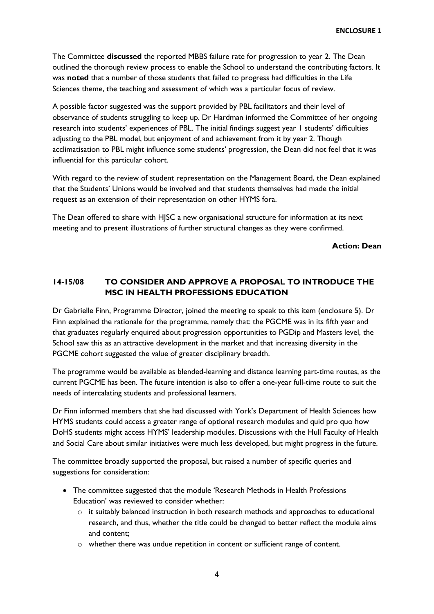The Committee **discussed** the reported MBBS failure rate for progression to year 2. The Dean outlined the thorough review process to enable the School to understand the contributing factors. It was **noted** that a number of those students that failed to progress had difficulties in the Life Sciences theme, the teaching and assessment of which was a particular focus of review.

A possible factor suggested was the support provided by PBL facilitators and their level of observance of students struggling to keep up. Dr Hardman informed the Committee of her ongoing research into students' experiences of PBL. The initial findings suggest year 1 students' difficulties adjusting to the PBL model, but enjoyment of and achievement from it by year 2. Though acclimatisation to PBL might influence some students' progression, the Dean did not feel that it was influential for this particular cohort.

With regard to the review of student representation on the Management Board, the Dean explained that the Students' Unions would be involved and that students themselves had made the initial request as an extension of their representation on other HYMS fora.

The Dean offered to share with HJSC a new organisational structure for information at its next meeting and to present illustrations of further structural changes as they were confirmed.

### **Action: Dean**

# **14-15/08 TO CONSIDER AND APPROVE A PROPOSAL TO INTRODUCE THE MSC IN HEALTH PROFESSIONS EDUCATION**

Dr Gabrielle Finn, Programme Director, joined the meeting to speak to this item (enclosure 5). Dr Finn explained the rationale for the programme, namely that: the PGCME was in its fifth year and that graduates regularly enquired about progression opportunities to PGDip and Masters level, the School saw this as an attractive development in the market and that increasing diversity in the PGCME cohort suggested the value of greater disciplinary breadth.

The programme would be available as blended-learning and distance learning part-time routes, as the current PGCME has been. The future intention is also to offer a one-year full-time route to suit the needs of intercalating students and professional learners.

Dr Finn informed members that she had discussed with York's Department of Health Sciences how HYMS students could access a greater range of optional research modules and quid pro quo how DoHS students might access HYMS' leadership modules. Discussions with the Hull Faculty of Health and Social Care about similar initiatives were much less developed, but might progress in the future.

The committee broadly supported the proposal, but raised a number of specific queries and suggestions for consideration:

- The committee suggested that the module 'Research Methods in Health Professions Education' was reviewed to consider whether:
	- $\circ$  it suitably balanced instruction in both research methods and approaches to educational research, and thus, whether the title could be changed to better reflect the module aims and content;
	- o whether there was undue repetition in content or sufficient range of content.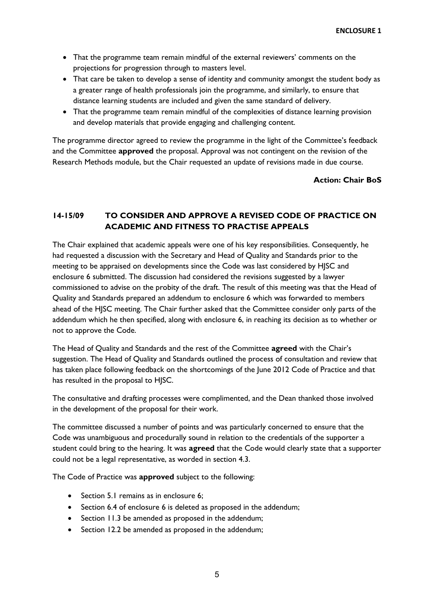- That the programme team remain mindful of the external reviewers' comments on the projections for progression through to masters level.
- That care be taken to develop a sense of identity and community amongst the student body as a greater range of health professionals join the programme, and similarly, to ensure that distance learning students are included and given the same standard of delivery.
- That the programme team remain mindful of the complexities of distance learning provision and develop materials that provide engaging and challenging content.

The programme director agreed to review the programme in the light of the Committee's feedback and the Committee **approved** the proposal. Approval was not contingent on the revision of the Research Methods module, but the Chair requested an update of revisions made in due course.

## **Action: Chair BoS**

# **14-15/09 TO CONSIDER AND APPROVE A REVISED CODE OF PRACTICE ON ACADEMIC AND FITNESS TO PRACTISE APPEALS**

The Chair explained that academic appeals were one of his key responsibilities. Consequently, he had requested a discussion with the Secretary and Head of Quality and Standards prior to the meeting to be appraised on developments since the Code was last considered by HJSC and enclosure 6 submitted. The discussion had considered the revisions suggested by a lawyer commissioned to advise on the probity of the draft. The result of this meeting was that the Head of Quality and Standards prepared an addendum to enclosure 6 which was forwarded to members ahead of the HJSC meeting. The Chair further asked that the Committee consider only parts of the addendum which he then specified, along with enclosure 6, in reaching its decision as to whether or not to approve the Code.

The Head of Quality and Standards and the rest of the Committee **agreed** with the Chair's suggestion. The Head of Quality and Standards outlined the process of consultation and review that has taken place following feedback on the shortcomings of the June 2012 Code of Practice and that has resulted in the proposal to HJSC.

The consultative and drafting processes were complimented, and the Dean thanked those involved in the development of the proposal for their work.

The committee discussed a number of points and was particularly concerned to ensure that the Code was unambiguous and procedurally sound in relation to the credentials of the supporter a student could bring to the hearing. It was **agreed** that the Code would clearly state that a supporter could not be a legal representative, as worded in section 4.3.

The Code of Practice was **approved** subject to the following:

- Section 5.1 remains as in enclosure 6;
- Section 6.4 of enclosure 6 is deleted as proposed in the addendum;
- Section 11.3 be amended as proposed in the addendum;
- Section 12.2 be amended as proposed in the addendum;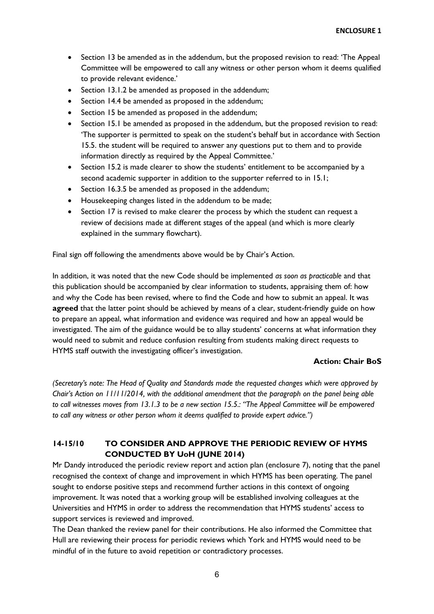- Section 13 be amended as in the addendum, but the proposed revision to read: 'The Appeal Committee will be empowered to call any witness or other person whom it deems qualified to provide relevant evidence.'
- Section 13.1.2 be amended as proposed in the addendum;
- Section 14.4 be amended as proposed in the addendum;
- Section 15 be amended as proposed in the addendum;
- Section 15.1 be amended as proposed in the addendum, but the proposed revision to read: 'The supporter is permitted to speak on the student's behalf but in accordance with Section 15.5. the student will be required to answer any questions put to them and to provide information directly as required by the Appeal Committee.'
- Section 15.2 is made clearer to show the students' entitlement to be accompanied by a second academic supporter in addition to the supporter referred to in 15.1;
- Section 16.3.5 be amended as proposed in the addendum;
- Housekeeping changes listed in the addendum to be made;
- Section 17 is revised to make clearer the process by which the student can request a review of decisions made at different stages of the appeal (and which is more clearly explained in the summary flowchart).

Final sign off following the amendments above would be by Chair's Action.

In addition, it was noted that the new Code should be implemented *as soon as practicable* and that this publication should be accompanied by clear information to students, appraising them of: how and why the Code has been revised, where to find the Code and how to submit an appeal. It was **agreed** that the latter point should be achieved by means of a clear, student-friendly guide on how to prepare an appeal, what information and evidence was required and how an appeal would be investigated. The aim of the guidance would be to allay students' concerns at what information they would need to submit and reduce confusion resulting from students making direct requests to HYMS staff outwith the investigating officer's investigation.

## **Action: Chair BoS**

*(Secretary's note: The Head of Quality and Standards made the requested changes which were approved by Chair's Action on 11/11/2014, with the additional amendment that the paragraph on the panel being able to call witnesses moves from 13.1.3 to be a new section 15.5.: "The Appeal Committee will be empowered to call any witness or other person whom it deems qualified to provide expert advice.")*

# **14-15/10 TO CONSIDER AND APPROVE THE PERIODIC REVIEW OF HYMS CONDUCTED BY UoH (JUNE 2014)**

Mr Dandy introduced the periodic review report and action plan (enclosure 7), noting that the panel recognised the context of change and improvement in which HYMS has been operating. The panel sought to endorse positive steps and recommend further actions in this context of ongoing improvement. It was noted that a working group will be established involving colleagues at the Universities and HYMS in order to address the recommendation that HYMS students' access to support services is reviewed and improved.

The Dean thanked the review panel for their contributions. He also informed the Committee that Hull are reviewing their process for periodic reviews which York and HYMS would need to be mindful of in the future to avoid repetition or contradictory processes.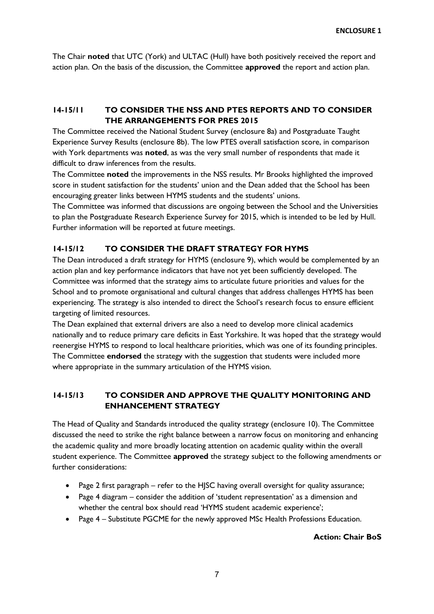The Chair **noted** that UTC (York) and ULTAC (Hull) have both positively received the report and action plan. On the basis of the discussion, the Committee **approved** the report and action plan.

# **14-15/11 TO CONSIDER THE NSS AND PTES REPORTS AND TO CONSIDER THE ARRANGEMENTS FOR PRES 2015**

The Committee received the National Student Survey (enclosure 8a) and Postgraduate Taught Experience Survey Results (enclosure 8b). The low PTES overall satisfaction score, in comparison with York departments was **noted**, as was the very small number of respondents that made it difficult to draw inferences from the results.

The Committee **noted** the improvements in the NSS results. Mr Brooks highlighted the improved score in student satisfaction for the students' union and the Dean added that the School has been encouraging greater links between HYMS students and the students' unions.

The Committee was informed that discussions are ongoing between the School and the Universities to plan the Postgraduate Research Experience Survey for 2015, which is intended to be led by Hull. Further information will be reported at future meetings.

## **14-15/12 TO CONSIDER THE DRAFT STRATEGY FOR HYMS**

The Dean introduced a draft strategy for HYMS (enclosure 9), which would be complemented by an action plan and key performance indicators that have not yet been sufficiently developed. The Committee was informed that the strategy aims to articulate future priorities and values for the School and to promote organisational and cultural changes that address challenges HYMS has been experiencing. The strategy is also intended to direct the School's research focus to ensure efficient targeting of limited resources.

The Dean explained that external drivers are also a need to develop more clinical academics nationally and to reduce primary care deficits in East Yorkshire. It was hoped that the strategy would reenergise HYMS to respond to local healthcare priorities, which was one of its founding principles. The Committee **endorsed** the strategy with the suggestion that students were included more where appropriate in the summary articulation of the HYMS vision.

# **14-15/13 TO CONSIDER AND APPROVE THE QUALITY MONITORING AND ENHANCEMENT STRATEGY**

The Head of Quality and Standards introduced the quality strategy (enclosure 10). The Committee discussed the need to strike the right balance between a narrow focus on monitoring and enhancing the academic quality and more broadly locating attention on academic quality within the overall student experience. The Committee **approved** the strategy subject to the following amendments or further considerations:

- Page 2 first paragraph refer to the HJSC having overall oversight for quality assurance;
- Page 4 diagram consider the addition of 'student representation' as a dimension and whether the central box should read 'HYMS student academic experience';
- Page 4 Substitute PGCME for the newly approved MSc Health Professions Education.

## **Action: Chair BoS**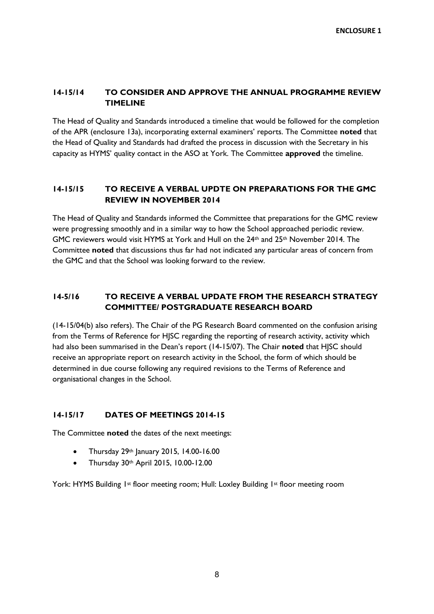# **14-15/14 TO CONSIDER AND APPROVE THE ANNUAL PROGRAMME REVIEW TIMELINE**

The Head of Quality and Standards introduced a timeline that would be followed for the completion of the APR (enclosure 13a), incorporating external examiners' reports. The Committee **noted** that the Head of Quality and Standards had drafted the process in discussion with the Secretary in his capacity as HYMS' quality contact in the ASO at York. The Committee **approved** the timeline.

# **14-15/15 TO RECEIVE A VERBAL UPDTE ON PREPARATIONS FOR THE GMC REVIEW IN NOVEMBER 2014**

The Head of Quality and Standards informed the Committee that preparations for the GMC review were progressing smoothly and in a similar way to how the School approached periodic review. GMC reviewers would visit HYMS at York and Hull on the 24th and 25th November 2014. The Committee **noted** that discussions thus far had not indicated any particular areas of concern from the GMC and that the School was looking forward to the review.

# **14-5/16 TO RECEIVE A VERBAL UPDATE FROM THE RESEARCH STRATEGY COMMITTEE/ POSTGRADUATE RESEARCH BOARD**

(14-15/04(b) also refers). The Chair of the PG Research Board commented on the confusion arising from the Terms of Reference for HJSC regarding the reporting of research activity, activity which had also been summarised in the Dean's report (14-15/07). The Chair **noted** that HJSC should receive an appropriate report on research activity in the School, the form of which should be determined in due course following any required revisions to the Terms of Reference and organisational changes in the School.

## **14-15/17 DATES OF MEETINGS 2014-15**

The Committee **noted** the dates of the next meetings:

- Thursday 29th January 2015, 14.00-16.00
- Thursday 30th April 2015, 10.00-12.00

York: HYMS Building 1st floor meeting room; Hull: Loxley Building 1st floor meeting room